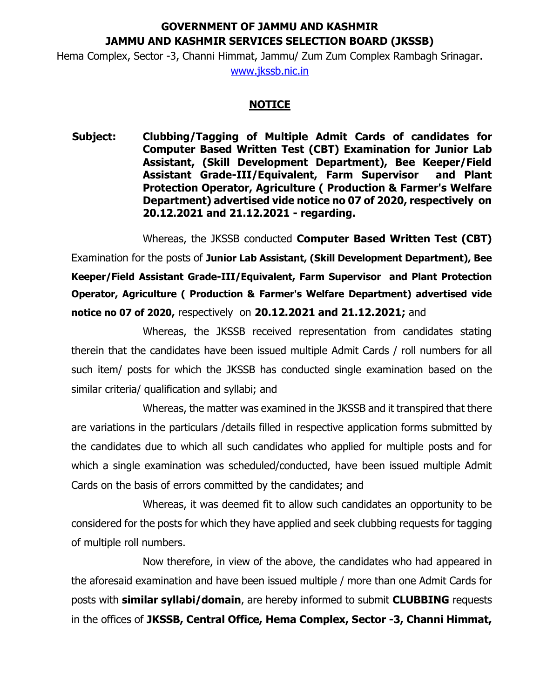## **GOVERNMENT OF JAMMU AND KASHMIR JAMMU AND KASHMIR SERVICES SELECTION BOARD (JKSSB)**

Hema Complex, Sector -3, Channi Himmat, Jammu/ Zum Zum Complex Rambagh Srinagar. [www.jkssb.nic.in](http://www.jkssb.nic.in/)

## **NOTICE**

**Subject: Clubbing/Tagging of Multiple Admit Cards of candidates for Computer Based Written Test (CBT) Examination for Junior Lab Assistant, (Skill Development Department), Bee Keeper/Field Assistant Grade-III/Equivalent, Farm Supervisor and Plant Protection Operator, Agriculture ( Production & Farmer's Welfare Department) advertised vide notice no 07 of 2020, respectively on 20.12.2021 and 21.12.2021 - regarding.**

Whereas, the JKSSB conducted **Computer Based Written Test (CBT)**  Examination for the posts of **Junior Lab Assistant, (Skill Development Department), Bee Keeper/Field Assistant Grade-III/Equivalent, Farm Supervisor and Plant Protection Operator, Agriculture ( Production & Farmer's Welfare Department) advertised vide notice no 07 of 2020,** respectively on **20.12.2021 and 21.12.2021;** and

Whereas, the JKSSB received representation from candidates stating therein that the candidates have been issued multiple Admit Cards / roll numbers for all such item/ posts for which the JKSSB has conducted single examination based on the similar criteria/ qualification and syllabi; and

Whereas, the matter was examined in the JKSSB and it transpired that there are variations in the particulars /details filled in respective application forms submitted by the candidates due to which all such candidates who applied for multiple posts and for which a single examination was scheduled/conducted, have been issued multiple Admit Cards on the basis of errors committed by the candidates; and

Whereas, it was deemed fit to allow such candidates an opportunity to be considered for the posts for which they have applied and seek clubbing requests for tagging of multiple roll numbers.

Now therefore, in view of the above, the candidates who had appeared in the aforesaid examination and have been issued multiple / more than one Admit Cards for posts with **similar syllabi/domain**, are hereby informed to submit **CLUBBING** requests in the offices of **JKSSB, Central Office, Hema Complex, Sector -3, Channi Himmat,**